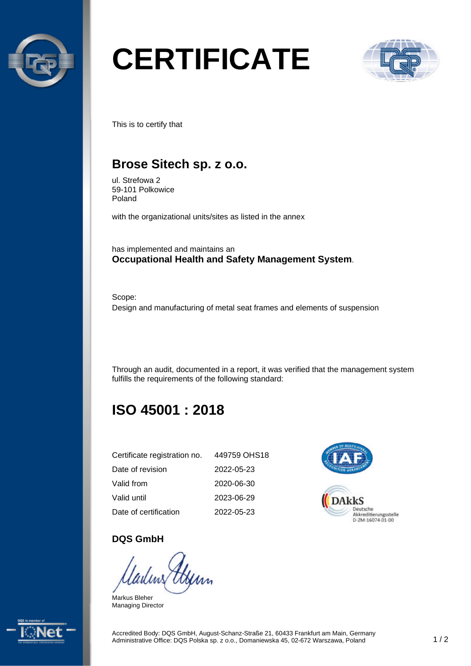

# **CERTIFICATE**



This is to certify that

## **Brose Sitech sp. z o.o.**

ul. Strefowa 2 59-101 Polkowice Poland

with the organizational units/sites as listed in the annex

has implemented and maintains an **Occupational Health and Safety Management System**.

Scope: Design and manufacturing of metal seat frames and elements of suspension

Through an audit, documented in a report, it was verified that the management system fulfills the requirements of the following standard:

# **ISO 45001 : 2018**

| Certificate registration no. | 449759 OHS18 |
|------------------------------|--------------|
| Date of revision             | 2022-05-23   |
| Valid from                   | 2020-06-30   |
| Valid until                  | 2023-06-29   |
| Date of certification        | 2022-05-23   |



#### **DQS GmbH**

Markus Bleher Managing Director